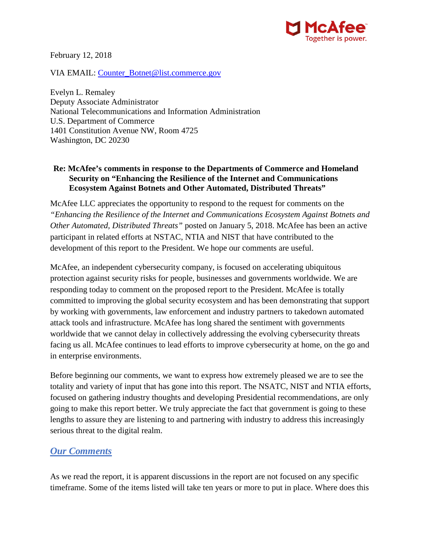

February 12, 2018

VIA EMAIL: [Counter\\_Botnet@list.commerce.gov](mailto:Counter_Botnet@list.commerce.gov)

Evelyn L. Remaley Deputy Associate Administrator National Telecommunications and Information Administration U.S. Department of Commerce 1401 Constitution Avenue NW, Room 4725 Washington, DC 20230

#### **Re: McAfee's comments in response to the Departments of Commerce and Homeland Security on "Enhancing the Resilience of the Internet and Communications Ecosystem Against Botnets and Other Automated, Distributed Threats"**

McAfee LLC appreciates the opportunity to respond to the request for comments on the *"Enhancing the Resilience of the Internet and Communications Ecosystem Against Botnets and Other Automated, Distributed Threats"* posted on January 5, 2018. McAfee has been an active participant in related efforts at NSTAC, NTIA and NIST that have contributed to the development of this report to the President. We hope our comments are useful.

McAfee, an independent cybersecurity company, is focused on accelerating ubiquitous protection against security risks for people, businesses and governments worldwide. We are responding today to comment on the proposed report to the President. McAfee is totally committed to improving the global security ecosystem and has been demonstrating that support by working with governments, law enforcement and industry partners to takedown automated attack tools and infrastructure. McAfee has long shared the sentiment with governments worldwide that we cannot delay in collectively addressing the evolving cybersecurity threats facing us all. McAfee continues to lead efforts to improve cybersecurity at home, on the go and in enterprise environments.

Before beginning our comments, we want to express how extremely pleased we are to see the totality and variety of input that has gone into this report. The NSATC, NIST and NTIA efforts, focused on gathering industry thoughts and developing Presidential recommendations, are only going to make this report better. We truly appreciate the fact that government is going to these lengths to assure they are listening to and partnering with industry to address this increasingly serious threat to the digital realm.

### *Our Comments*

As we read the report, it is apparent discussions in the report are not focused on any specific timeframe. Some of the items listed will take ten years or more to put in place. Where does this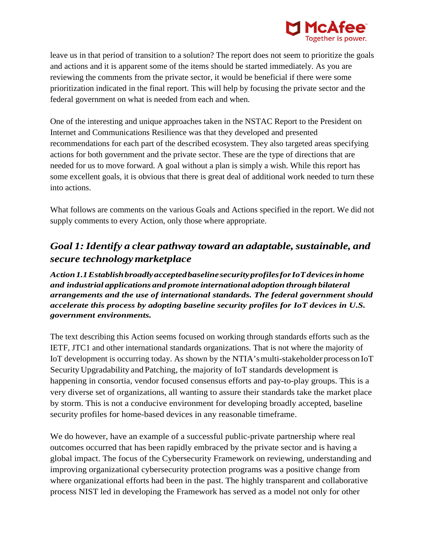

leave us in that period of transition to a solution? The report does not seem to prioritize the goals and actions and it is apparent some of the items should be started immediately. As you are reviewing the comments from the private sector, it would be beneficial if there were some prioritization indicated in the final report. This will help by focusing the private sector and the federal government on what is needed from each and when.

One of the interesting and unique approaches taken in the NSTAC Report to the President on Internet and Communications Resilience was that they developed and presented recommendations for each part of the described ecosystem. They also targeted areas specifying actions for both government and the private sector. These are the type of directions that are needed for us to move forward. A goal without a plan is simply a wish. While this report has some excellent goals, it is obvious that there is great deal of additional work needed to turn these into actions.

What follows are comments on the various Goals and Actions specified in the report. We did not supply comments to every Action, only those where appropriate.

## *Goal 1: Identify a clear pathway toward an adaptable, sustainable, and secure technologymarketplace*

*Action1.1EstablishbroadlyacceptedbaselinesecurityprofilesforIoTdevicesinhome and industrial applications and promote international adoption through bilateral arrangements and the use of international standards. The federal government should accelerate this process by adopting baseline security profiles for IoT devices in U.S. government environments.*

The text describing this Action seems focused on working through standards efforts such as the IETF, JTC1 and other international standards organizations. That is not where the majority of IoT development is occurring today. As shown by the NTIA'smulti-stakeholder processonIoT Security Upgradability andPatching, the majority of IoT standards development is happening in consortia, vendor focused consensus efforts and pay-to-play groups. This is a very diverse set of organizations, all wanting to assure their standards take the market place by storm. This is not a conducive environment for developing broadly accepted, baseline security profiles for home-based devices in any reasonable timeframe.

We do however, have an example of a successful public-private partnership where real outcomes occurred that has been rapidly embraced by the private sector and is having a global impact. The focus of the Cybersecurity Framework on reviewing, understanding and improving organizational cybersecurity protection programs was a positive change from where organizational efforts had been in the past. The highly transparent and collaborative process NIST led in developing the Framework has served as a model not only for other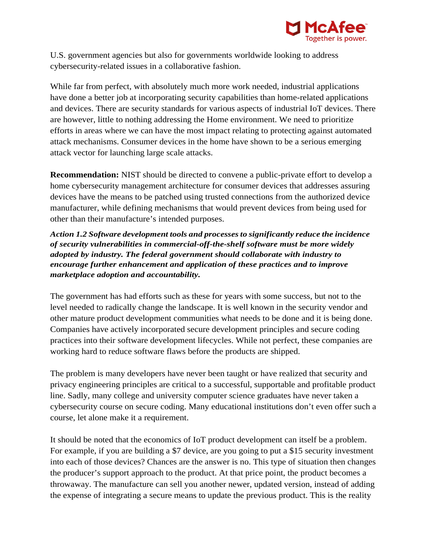

U.S. government agencies but also for governments worldwide looking to address cybersecurity-related issues in a collaborative fashion.

While far from perfect, with absolutely much more work needed, industrial applications have done a better job at incorporating security capabilities than home-related applications and devices. There are security standards for various aspects of industrial IoT devices. There are however, little to nothing addressing the Home environment. We need to prioritize efforts in areas where we can have the most impact relating to protecting against automated attack mechanisms. Consumer devices in the home have shown to be a serious emerging attack vector for launching large scale attacks.

**Recommendation:** NIST should be directed to convene a public-private effort to develop a home cybersecurity management architecture for consumer devices that addresses assuring devices have the means to be patched using trusted connections from the authorized device manufacturer, while defining mechanisms that would prevent devices from being used for other than their manufacture's intended purposes.

*Action 1.2 Software development tools and processes to significantly reduce the incidence of security vulnerabilities in commercial-off-the-shelf software must be more widely adopted by industry. The federal government should collaborate with industry to encourage further enhancement and application of these practices and to improve marketplace adoption and accountability.*

The government has had efforts such as these for years with some success, but not to the level needed to radically change the landscape. It is well known in the security vendor and other mature product development communities what needs to be done and it is being done. Companies have actively incorporated secure development principles and secure coding practices into their software development lifecycles. While not perfect, these companies are working hard to reduce software flaws before the products are shipped.

The problem is many developers have never been taught or have realized that security and privacy engineering principles are critical to a successful, supportable and profitable product line. Sadly, many college and university computer science graduates have never taken a cybersecurity course on secure coding. Many educational institutions don't even offer such a course, let alone make it a requirement.

It should be noted that the economics of IoT product development can itself be a problem. For example, if you are building a \$7 device, are you going to put a \$15 security investment into each of those devices? Chances are the answer is no. This type of situation then changes the producer's support approach to the product. At that price point, the product becomes a throwaway. The manufacture can sell you another newer, updated version, instead of adding the expense of integrating a secure means to update the previous product. This is the reality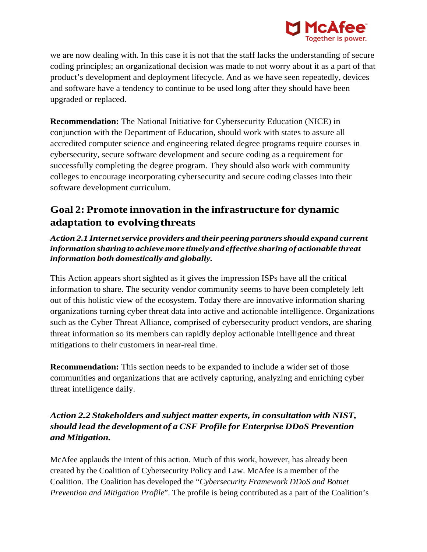

we are now dealing with. In this case it is not that the staff lacks the understanding of secure coding principles; an organizational decision was made to not worry about it as a part of that product's development and deployment lifecycle. And as we have seen repeatedly, devices and software have a tendency to continue to be used long after they should have been upgraded or replaced.

**Recommendation:** The National Initiative for Cybersecurity Education (NICE) in conjunction with the Department of Education, should work with states to assure all accredited computer science and engineering related degree programs require courses in cybersecurity, secure software development and secure coding as a requirement for successfully completing the degree program. They should also work with community colleges to encourage incorporating cybersecurity and secure coding classes into their software development curriculum.

# **Goal 2: Promote innovation in the infrastructure for dynamic adaptation to evolvingthreats**

*Action 2.1 Internetservice providers and their peering partnersshould expand current information sharing to achievemore timelyandeffective sharing of actionable threat information both domestically and globally.*

This Action appears short sighted as it gives the impression ISPs have all the critical information to share. The security vendor community seems to have been completely left out of this holistic view of the ecosystem. Today there are innovative information sharing organizations turning cyber threat data into active and actionable intelligence. Organizations such as the Cyber Threat Alliance, comprised of cybersecurity product vendors, are sharing threat information so its members can rapidly deploy actionable intelligence and threat mitigations to their customers in near-real time.

**Recommendation:** This section needs to be expanded to include a wider set of those communities and organizations that are actively capturing, analyzing and enriching cyber threat intelligence daily.

### *Action 2.2 Stakeholders and subject matter experts, in consultation with NIST, should lead the development of a CSF Profile for Enterprise DDoS Prevention and Mitigation.*

McAfee applauds the intent of this action. Much of this work, however, has already been created by the Coalition of Cybersecurity Policy and Law. McAfee is a member of the Coalition. The Coalition has developed the "*Cybersecurity Framework DDoS and Botnet Prevention and Mitigation Profile*". The profile is being contributed as a part of the Coalition's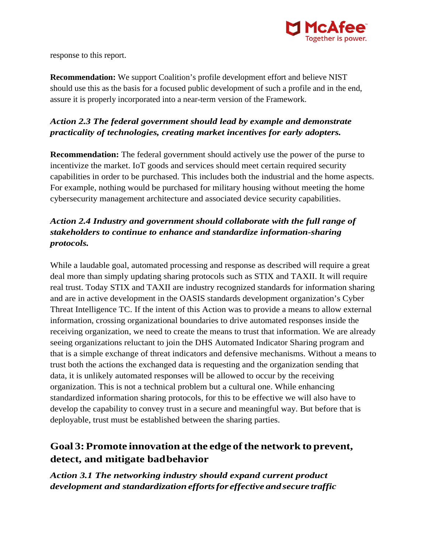

response to this report.

**Recommendation:** We support Coalition's profile development effort and believe NIST should use this as the basis for a focused public development of such a profile and in the end, assure it is properly incorporated into a near-term version of the Framework.

### *Action 2.3 The federal government should lead by example and demonstrate practicality of technologies, creating market incentives for early adopters.*

**Recommendation:** The federal government should actively use the power of the purse to incentivize the market. IoT goods and services should meet certain required security capabilities in order to be purchased. This includes both the industrial and the home aspects. For example, nothing would be purchased for military housing without meeting the home cybersecurity management architecture and associated device security capabilities.

### *Action 2.4 Industry and government should collaborate with the full range of stakeholders to continue to enhance and standardize information-sharing protocols.*

While a laudable goal, automated processing and response as described will require a great deal more than simply updating sharing protocols such as STIX and TAXII. It will require real trust. Today STIX and TAXII are industry recognized standards for information sharing and are in active development in the OASIS standards development organization's Cyber Threat Intelligence TC. If the intent of this Action was to provide a means to allow external information, crossing organizational boundaries to drive automated responses inside the receiving organization, we need to create the means to trust that information. We are already seeing organizations reluctant to join the DHS Automated Indicator Sharing program and that is a simple exchange of threat indicators and defensive mechanisms. Without a means to trust both the actions the exchanged data is requesting and the organization sending that data, it is unlikely automated responses will be allowed to occur by the receiving organization. This is not a technical problem but a cultural one. While enhancing standardized information sharing protocols, for this to be effective we will also have to develop the capability to convey trust in a secure and meaningful way. But before that is deployable, trust must be established between the sharing parties.

# **Goal 3:Promote innovation atthe edge ofthe network to prevent, detect, and mitigate badbehavior**

*Action 3.1 The networking industry should expand current product development and standardization effortsfor effective and secure traffic*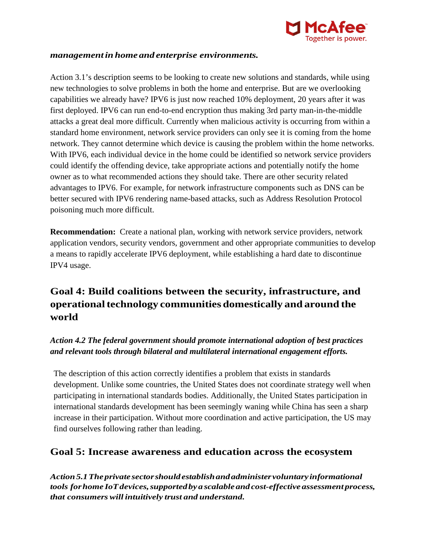

#### *management in home and enterprise environments.*

Action 3.1's description seems to be looking to create new solutions and standards, while using new technologies to solve problems in both the home and enterprise. But are we overlooking capabilities we already have? IPV6 is just now reached 10% deployment, 20 years after it was first deployed. IPV6 can run end-to-end encryption thus making 3rd party man-in-the-middle attacks a great deal more difficult. Currently when malicious activity is occurring from within a standard home environment, network service providers can only see it is coming from the home network. They cannot determine which device is causing the problem within the home networks. With IPV6, each individual device in the home could be identified so network service providers could identify the offending device, take appropriate actions and potentially notify the home owner as to what recommended actions they should take. There are other security related advantages to IPV6. For example, for network infrastructure components such as DNS can be better secured with IPV6 rendering name-based attacks, such as Address Resolution Protocol poisoning much more difficult.

**Recommendation:** Create a national plan, working with network service providers, network application vendors, security vendors, government and other appropriate communities to develop a means to rapidly accelerate IPV6 deployment, while establishing a hard date to discontinue IPV4 usage.

# **Goal 4: Build coalitions between the security, infrastructure, and operationaltechnology communities domestically and around the world**

### *Action 4.2 The federal government should promote international adoption of best practices and relevant tools through bilateral and multilateral international engagement efforts.*

The description of this action correctly identifies a problem that exists in standards development. Unlike some countries, the United States does not coordinate strategy well when participating in international standards bodies. Additionally, the United States participation in international standards development has been seemingly waning while China has seen a sharp increase in their participation. Without more coordination and active participation, the US may find ourselves following rather than leading.

### **Goal 5: Increase awareness and education across the ecosystem**

*Action5.1Theprivate sectorshouldestablishandadministervoluntaryinformational tools forhome IoTdevices,supportedbya scalableandcost-effective assessmentprocess, that consumers will intuitively trust and understand.*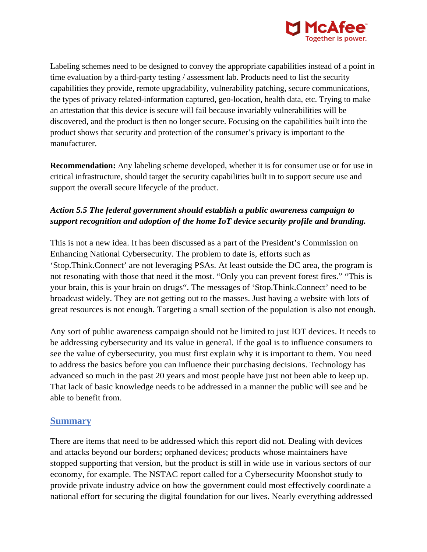

Labeling schemes need to be designed to convey the appropriate capabilities instead of a point in time evaluation by a third-party testing / assessment lab. Products need to list the security capabilities they provide, remote upgradability, vulnerability patching, secure communications, the types of privacy related-information captured, geo-location, health data, etc. Trying to make an attestation that this device is secure will fail because invariably vulnerabilities will be discovered, and the product is then no longer secure. Focusing on the capabilities built into the product shows that security and protection of the consumer's privacy is important to the manufacturer.

**Recommendation:** Any labeling scheme developed, whether it is for consumer use or for use in critical infrastructure, should target the security capabilities built in to support secure use and support the overall secure lifecycle of the product.

### *Action 5.5 The federal government should establish a public awareness campaign to support recognition and adoption of the home IoT device security profile and branding.*

This is not a new idea. It has been discussed as a part of the President's Commission on Enhancing National Cybersecurity. The problem to date is, efforts such as 'Stop.Think.Connect' are not leveraging PSAs. At least outside the DC area, the program is not resonating with those that need it the most. "Only you can prevent forest fires." "This is your brain, this is your brain on drugs". The messages of 'Stop.Think.Connect' need to be broadcast widely. They are not getting out to the masses. Just having a website with lots of great resources is not enough. Targeting a small section of the population is also not enough.

Any sort of public awareness campaign should not be limited to just IOT devices. It needs to be addressing cybersecurity and its value in general. If the goal is to influence consumers to see the value of cybersecurity, you must first explain why it is important to them. You need to address the basics before you can influence their purchasing decisions. Technology has advanced so much in the past 20 years and most people have just not been able to keep up. That lack of basic knowledge needs to be addressed in a manner the public will see and be able to benefit from.

### **Summary**

There are items that need to be addressed which this report did not. Dealing with devices and attacks beyond our borders; orphaned devices; products whose maintainers have stopped supporting that version, but the product is still in wide use in various sectors of our economy, for example. The NSTAC report called for a Cybersecurity Moonshot study to provide private industry advice on how the government could most effectively coordinate a national effort for securing the digital foundation for our lives. Nearly everything addressed